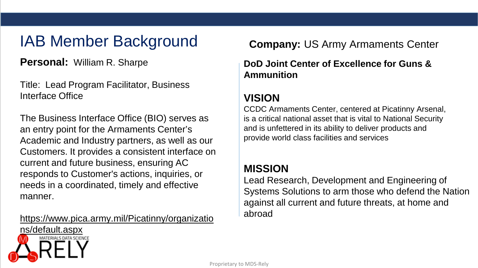# **IAB Member Background Company: US Army Armaments Center**

**Personal:** William R. Sharpe

Title: Lead Program Facilitator, Business Interface Office

The Business Interface Office (BIO) serves as an entry point for the Armaments Center's Academic and Industry partners, as well as our Customers. It provides a consistent interface on current and future business, ensuring AC responds to Customer's actions, inquiries, or needs in a coordinated, timely and effective manner.

https://www.pica.army.mil/Picatinny/organizatio

**DoD Joint Center of Excellence for Guns & Ammunition**

### **VISION**

CCDC Armaments Center, centered at Picatinny Arsenal, is a critical national asset that is vital to National Security and is unfettered in its ability to deliver products and provide world class facilities and services

### **MISSION**

Lead Research, Development and Engineering of Systems Solutions to arm those who defend the Nation against all current and future threats, at home and abroad

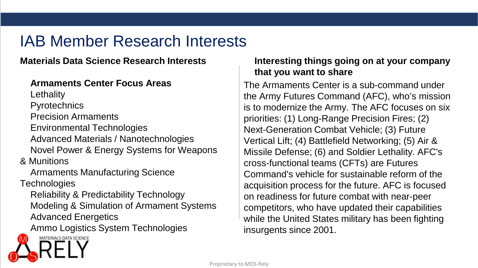#### **Materials Data Science Research Interests**

#### **Armaments Center Focus Areas**

**Lethality** 

**Pyrotechnics** 

Precision Armaments

Environmental Technologies Advanced Materials / Nanotechnologies Novel Power & Energy Systems for Weapons

& Munitions

Armaments Manufacturing Science

**Technologies** 

Reliability & Predictability Technology Modeling & Simulation of Armament Systems Advanced Energetics

Ammo Logistics System Technologies

### **Interesting things going on at your company that you want to share**

The Armaments Center is a sub-command under the Army Futures Command (AFC), who's mission is to modernize the Army. The AFC focuses on six priorities: (1) Long-Range Precision Fires; (2) Next-Generation Combat Vehicle; (3) Future Vertical Lift; (4) Battlefield Networking; (5) Air & Missile Defense; (6) and Soldier Lethality. AFC's cross-functional teams (CFTs) are Futures Command's vehicle for sustainable reform of the acquisition process for the future. AFC is focused on readiness for future combat with near-peer competitors, who have updated their capabilities while the United States military has been fighting insurgents since 2001.

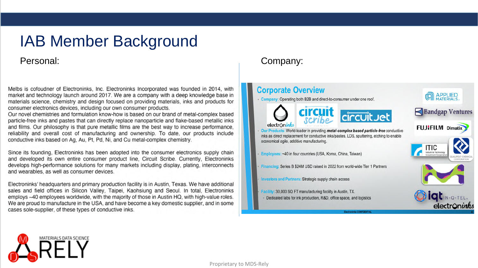#### Personal:

Melbs is cofoudner of Electroninks, Inc. Electroninks Incorporated was founded in 2014, with market and technology launch around 2017. We are a company with a deep knowledge base in materials science, chemistry and design focused on providing materials, inks and products for consumer electronics devices, including our own consumer products.

Our novel chemistries and formulation know-how is based on our brand of metal-complex based particle-free inks and pastes that can directly replace nanoparticle and flake-based metallic inks and films. Our philosophy is that pure metallic films are the best way to increase performance. reliability and overall cost of manufacturing and ownership. To date, our products include conductive inks based on Aq. Au, Pt, Pd, Ni, and Cu metal-complex chemistry.

Since its founding, Electroninks has been adopted into the consumer electronics supply chain and developed its own entire consumer product line, Circuit Scribe. Currently, Electroninks develops high-performance solutions for many markets including display, plating, interconnects and wearables, as well as consumer devices.

Electroninks' headquarters and primary production facility is in Austin, Texas. We have additional sales and field offices in Silicon Valley, Taipei, Kaohsiung and Seoul. In total, Electroninks employs ~40 employees worldwide, with the majority of those in Austin HQ, with high-value roles. We are proud to manufacture in the USA, and have become a key domestic supplier, and in some cases sole-supplier, of these types of conductive inks.

#### Company:

#### **Corporate Overview**

- Company: Operating both B2B and direct-to-consumer under one roof.













**CON APPLIED** 

Our Products: World-leader in providing metal-complex based particle-free conductive inks as direct replacement for conductive inks/pastes, LDS, sputtering, etching to enable economical agile, additive manufacturing.

Employees: ~40 in four countries (USA, Korea, China, Taiwan)

Financing: Series B \$24M USD raised in 2022 from world-wide Tier 1 Partners

Investors and Partners: Strategic supply chain access

Facility: 30,000 SQ FT manufacturing facility in Austin, TX. Dedicated labs for ink production, R&D, office space, and logistics



**DIGLIN-Q-TEL** 

electroninks

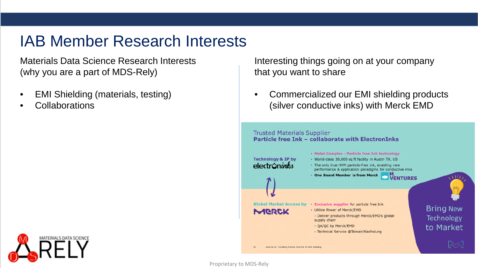Materials Data Science Research Interests (why you are a part of MDS-Rely)

- EMI Shielding (materials, testing)
- **Collaborations**



Interesting things going on at your company that you want to share

• Commercialized our EMI shielding products (silver conductive inks) with Merck EMD



Proprietary to MDS-Rely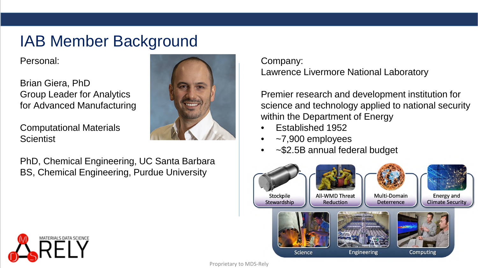Personal:

Brian Giera, PhD Group Leader for Analytics for Advanced Manufacturing

Computational Materials **Scientist** 



PhD, Chemical Engineering, UC Santa Barbara BS, Chemical Engineering, Purdue University

Company: Lawrence Livermore National Laboratory

Premier research and development institution for science and technology applied to national security within the Department of Energy

- Established 1952
- ~7,900 employees
- ~\$2.5B annual federal budget



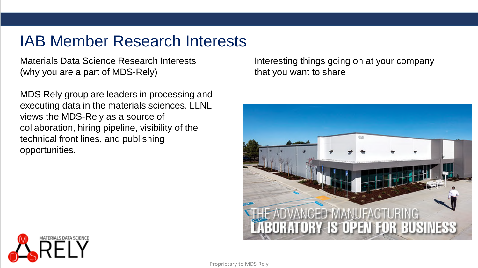Materials Data Science Research Interests (why you are a part of MDS-Rely)

MDS Rely group are leaders in processing and executing data in the materials sciences. LLNL views the MDS-Rely as a source of collaboration, hiring pipeline, visibility of the technical front lines, and publishing opportunities.

Interesting things going on at your company that you want to share



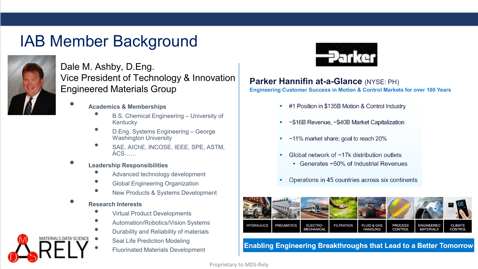

Dale M. Ashby, D.Eng. Vice President of Technology & Innovation Engineered Materials Group

- **Academics & Memberships**
	- B.S. Chemical Engineering University of Kentucky
	- D.Eng. Systems Engineering George Washington University
	- SAE, AIChE, INCOSE, IEEE, SPE, ASTM, ACS……
- **Leadership Responsibilities**
	- Advanced technology development
	- Global Engineering Organization
	- New Products & Systems Development

#### • **Research Interests**

ATERIAI S DATA SCIENCE

- Virtual Product Developments
- Automation/Robotics/Vision Systems
- Durability and Reliability of materials
	- Seal Life Prediction Modeling
	- Fluorinated Materials Development



#### **Parker Hannifin at-a-Glance (NYSE: PH)**

**Engineering Customer Success in Motion & Control Markets for over 100 Years** 

- #1 Position in \$135B Motion & Control Industry
- ~\$16B Revenue, ~\$40B Market Capitalization
- ~11% market share; goal to reach 20%
- Global network of ~17k distribution outlets
	- Generates ~50% of Industrial Revenues
- Operations in 45 countries across six continents



**Enabling Engineering Breakthroughs that Lead to a Better Tomorrow**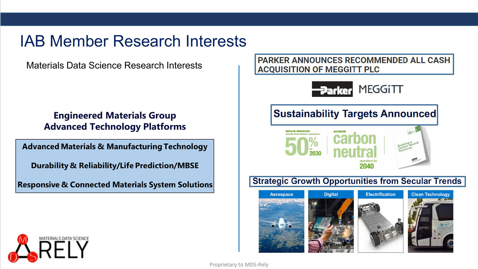Materials Data Science Research Interests

#### **Engineered Materials Group Advanced Technology Platforms**

**Advanced Materials & Manufacturing Technology** 

Durability & Reliability/Life Prediction/MBSE

**Responsive & Connected Materials System Solutions** 

**PARKER ANNOUNCES RECOMMENDED ALL CASH ACQUISITION OF MEGGITT PLC** 



## **Sustainability Targets Announced**



### **Strategic Growth Opportunities from Secular Trends**



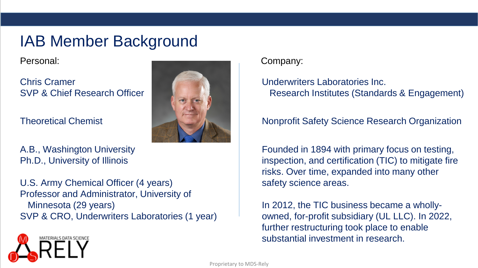Personal:

Chris Cramer SVP & Chief Research Officer

Theoretical Chemist

A.B., Washington University Ph.D., University of Illinois

U.S. Army Chemical Officer (4 years) Professor and Administrator, University of Minnesota (29 years) SVP & CRO, Underwriters Laboratories (1 year)



Company:

Underwriters Laboratories Inc. Research Institutes (Standards & Engagement)

### Nonprofit Safety Science Research Organization

Founded in 1894 with primary focus on testing, inspection, and certification (TIC) to mitigate fire risks. Over time, expanded into many other safety science areas.

In 2012, the TIC business became a whollyowned, for-profit subsidiary (UL LLC). In 2022, further restructuring took place to enable substantial investment in research.